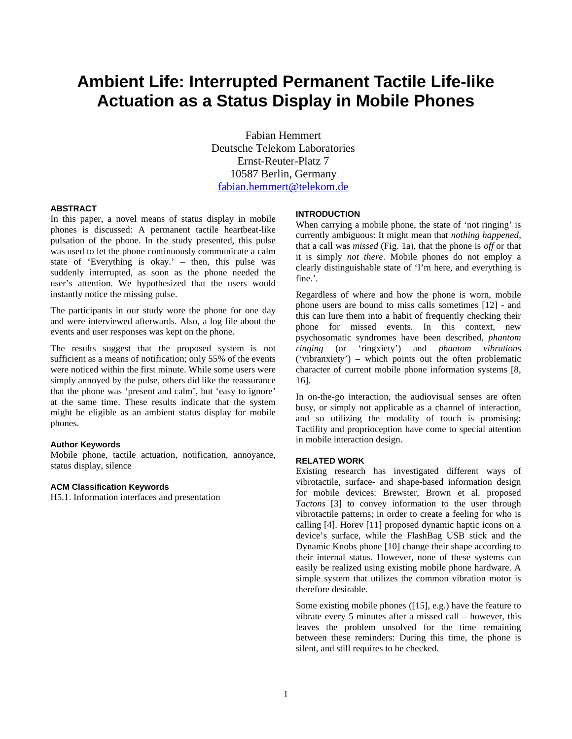# **Ambient Life: Interrupted Permanent Tactile Life-like Actuation as a Status Display in Mobile Phones**

Fabian Hemmert Deutsche Telekom Laboratories Ernst-Reuter-Platz 7 10587 Berlin, Germany fabian.hemmert@telekom.de

#### **ABSTRACT**

In this paper, a novel means of status display in mobile phones is discussed: A permanent tactile heartbeat-like pulsation of the phone. In the study presented, this pulse was used to let the phone continuously communicate a calm state of 'Everything is okay.' – then, this pulse was suddenly interrupted, as soon as the phone needed the user's attention. We hypothesized that the users would instantly notice the missing pulse.

The participants in our study wore the phone for one day and were interviewed afterwards. Also, a log file about the events and user responses was kept on the phone.

The results suggest that the proposed system is not sufficient as a means of notification; only 55% of the events were noticed within the first minute. While some users were simply annoyed by the pulse, others did like the reassurance that the phone was 'present and calm', but 'easy to ignore' at the same time. These results indicate that the system might be eligible as an ambient status display for mobile phones.

## **Author Keywords**

Mobile phone, tactile actuation, notification, annoyance, status display, silence

#### **ACM Classification Keywords**

H5.1. Information interfaces and presentation

## **INTRODUCTION**

When carrying a mobile phone, the state of 'not ringing' is currently ambiguous: It might mean that *nothing happened*, that a call was *missed* (Fig. 1a), that the phone is *off* or that it is simply *not there*. Mobile phones do not employ a clearly distinguishable state of 'I'm here, and everything is fine.'.

Regardless of where and how the phone is worn, mobile phone users are bound to miss calls sometimes [12] - and this can lure them into a habit of frequently checking their phone for missed events. In this context, new psychosomatic syndromes have been described, *phantom ringing* (or 'ringxiety') and *phantom vibration*s ('vibranxiety') – which points out the often problematic character of current mobile phone information systems [8, 16].

In on-the-go interaction, the audiovisual senses are often busy, or simply not applicable as a channel of interaction, and so utilizing the modality of touch is promising: Tactility and proprioception have come to special attention in mobile interaction design.

## **RELATED WORK**

Existing research has investigated different ways of vibrotactile, surface- and shape-based information design for mobile devices: Brewster, Brown et al. proposed *Tactons* [3] to convey information to the user through vibrotactile patterns; in order to create a feeling for who is calling [4]. Horev [11] proposed dynamic haptic icons on a device's surface, while the FlashBag USB stick and the Dynamic Knobs phone [10] change their shape according to their internal status. However, none of these systems can easily be realized using existing mobile phone hardware. A simple system that utilizes the common vibration motor is therefore desirable.

Some existing mobile phones ([15], e.g.) have the feature to vibrate every 5 minutes after a missed call – however, this leaves the problem unsolved for the time remaining between these reminders: During this time, the phone is silent, and still requires to be checked.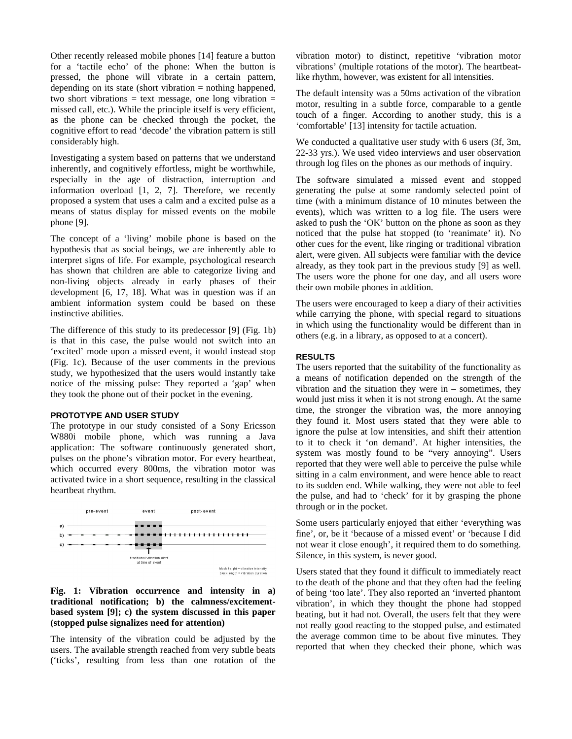Other recently released mobile phones [14] feature a button for a 'tactile echo' of the phone: When the button is pressed, the phone will vibrate in a certain pattern, depending on its state (short vibration = nothing happened, two short vibrations  $=$  text message, one long vibration  $=$ missed call, etc.). While the principle itself is very efficient, as the phone can be checked through the pocket, the cognitive effort to read 'decode' the vibration pattern is still considerably high.

Investigating a system based on patterns that we understand inherently, and cognitively effortless, might be worthwhile, especially in the age of distraction, interruption and information overload [1, 2, 7]. Therefore, we recently proposed a system that uses a calm and a excited pulse as a means of status display for missed events on the mobile phone [9].

The concept of a 'living' mobile phone is based on the hypothesis that as social beings, we are inherently able to interpret signs of life. For example, psychological research has shown that children are able to categorize living and non-living objects already in early phases of their development [6, 17, 18]. What was in question was if an ambient information system could be based on these instinctive abilities.

The difference of this study to its predecessor [9] (Fig. 1b) is that in this case, the pulse would not switch into an 'excited' mode upon a missed event, it would instead stop (Fig. 1c). Because of the user comments in the previous study, we hypothesized that the users would instantly take notice of the missing pulse: They reported a 'gap' when they took the phone out of their pocket in the evening.

# **PROTOTYPE AND USER STUDY**

The prototype in our study consisted of a Sony Ericsson W880i mobile phone, which was running a Java application: The software continuously generated short, pulses on the phone's vibration motor. For every heartbeat, which occurred every 800ms, the vibration motor was activated twice in a short sequence, resulting in the classical heartbeat rhythm.



# **Fig. 1: Vibration occurrence and intensity in a) traditional notification; b) the calmness/excitementbased system [9]; c) the system discussed in this paper (stopped pulse signalizes need for attention)**

The intensity of the vibration could be adjusted by the users. The available strength reached from very subtle beats ('ticks', resulting from less than one rotation of the vibration motor) to distinct, repetitive 'vibration motor vibrations' (multiple rotations of the motor). The heartbeatlike rhythm, however, was existent for all intensities.

The default intensity was a 50ms activation of the vibration motor, resulting in a subtle force, comparable to a gentle touch of a finger. According to another study, this is a 'comfortable' [13] intensity for tactile actuation.

We conducted a qualitative user study with 6 users (3f, 3m, 22-33 yrs.). We used video interviews and user observation through log files on the phones as our methods of inquiry.

The software simulated a missed event and stopped generating the pulse at some randomly selected point of time (with a minimum distance of 10 minutes between the events), which was written to a log file. The users were asked to push the 'OK' button on the phone as soon as they noticed that the pulse hat stopped (to 'reanimate' it). No other cues for the event, like ringing or traditional vibration alert, were given. All subjects were familiar with the device already, as they took part in the previous study [9] as well. The users wore the phone for one day, and all users wore their own mobile phones in addition.

The users were encouraged to keep a diary of their activities while carrying the phone, with special regard to situations in which using the functionality would be different than in others (e.g. in a library, as opposed to at a concert).

## **RESULTS**

The users reported that the suitability of the functionality as a means of notification depended on the strength of the vibration and the situation they were in – sometimes, they would just miss it when it is not strong enough. At the same time, the stronger the vibration was, the more annoying they found it. Most users stated that they were able to ignore the pulse at low intensities, and shift their attention to it to check it 'on demand'. At higher intensities, the system was mostly found to be "very annoying". Users reported that they were well able to perceive the pulse while sitting in a calm environment, and were hence able to react to its sudden end. While walking, they were not able to feel the pulse, and had to 'check' for it by grasping the phone through or in the pocket.

Some users particularly enjoyed that either 'everything was fine', or, be it 'because of a missed event' or 'because I did not wear it close enough', it required them to do something. Silence, in this system, is never good.

Users stated that they found it difficult to immediately react to the death of the phone and that they often had the feeling of being 'too late'. They also reported an 'inverted phantom vibration', in which they thought the phone had stopped beating, but it had not. Overall, the users felt that they were not really good reacting to the stopped pulse, and estimated the average common time to be about five minutes. They reported that when they checked their phone, which was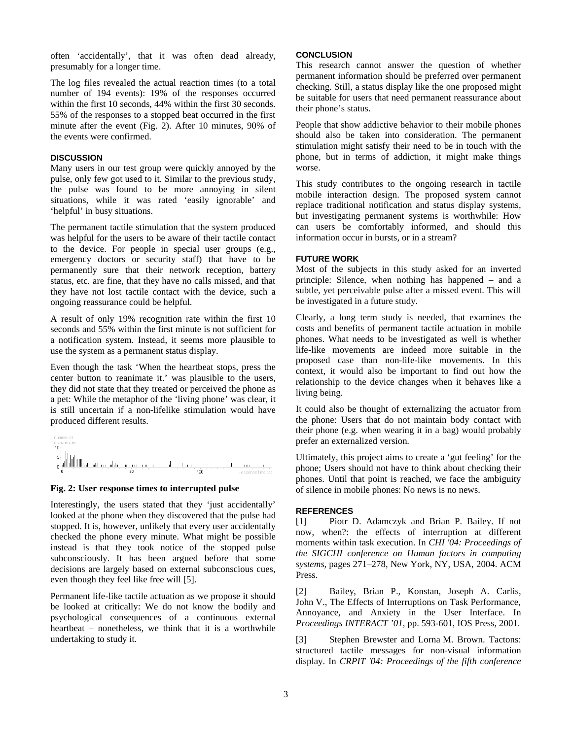often 'accidentally', that it was often dead already, presumably for a longer time.

The log files revealed the actual reaction times (to a total number of 194 events): 19% of the responses occurred within the first 10 seconds, 44% within the first 30 seconds. 55% of the responses to a stopped beat occurred in the first minute after the event (Fig. 2). After 10 minutes, 90% of the events were confirmed.

## **DISCUSSION**

Many users in our test group were quickly annoyed by the pulse, only few got used to it. Similar to the previous study, the pulse was found to be more annoying in silent situations, while it was rated 'easily ignorable' and 'helpful' in busy situations.

The permanent tactile stimulation that the system produced was helpful for the users to be aware of their tactile contact to the device. For people in special user groups (e.g., emergency doctors or security staff) that have to be permanently sure that their network reception, battery status, etc. are fine, that they have no calls missed, and that they have not lost tactile contact with the device, such a ongoing reassurance could be helpful.

A result of only 19% recognition rate within the first 10 seconds and 55% within the first minute is not sufficient for a notification system. Instead, it seems more plausible to use the system as a permanent status display.

Even though the task 'When the heartbeat stops, press the center button to reanimate it.' was plausible to the users, they did not state that they treated or perceived the phone as a pet: While the metaphor of the 'living phone' was clear, it is still uncertain if a non-lifelike stimulation would have produced different results.



## **Fig. 2: User response times to interrupted pulse**

Interestingly, the users stated that they 'just accidentally' looked at the phone when they discovered that the pulse had stopped. It is, however, unlikely that every user accidentally checked the phone every minute. What might be possible instead is that they took notice of the stopped pulse subconsciously. It has been argued before that some decisions are largely based on external subconscious cues, even though they feel like free will [5].

Permanent life-like tactile actuation as we propose it should be looked at critically: We do not know the bodily and psychological consequences of a continuous external heartbeat – nonetheless, we think that it is a worthwhile undertaking to study it.

## **CONCLUSION**

This research cannot answer the question of whether permanent information should be preferred over permanent checking. Still, a status display like the one proposed might be suitable for users that need permanent reassurance about their phone's status.

People that show addictive behavior to their mobile phones should also be taken into consideration. The permanent stimulation might satisfy their need to be in touch with the phone, but in terms of addiction, it might make things worse.

This study contributes to the ongoing research in tactile mobile interaction design. The proposed system cannot replace traditional notification and status display systems, but investigating permanent systems is worthwhile: How can users be comfortably informed, and should this information occur in bursts, or in a stream?

## **FUTURE WORK**

Most of the subjects in this study asked for an inverted principle: Silence, when nothing has happened – and a subtle, yet perceivable pulse after a missed event. This will be investigated in a future study.

Clearly, a long term study is needed, that examines the costs and benefits of permanent tactile actuation in mobile phones. What needs to be investigated as well is whether life-like movements are indeed more suitable in the proposed case than non-life-like movements. In this context, it would also be important to find out how the relationship to the device changes when it behaves like a living being.

It could also be thought of externalizing the actuator from the phone: Users that do not maintain body contact with their phone (e.g. when wearing it in a bag) would probably prefer an externalized version.

Ultimately, this project aims to create a 'gut feeling' for the phone; Users should not have to think about checking their phones. Until that point is reached, we face the ambiguity of silence in mobile phones: No news is no news.

#### **REFERENCES**

[1] Piotr D. Adamczyk and Brian P. Bailey. If not now, when?: the effects of interruption at different moments within task execution. In *CHI '04: Proceedings of the SIGCHI conference on Human factors in computing systems*, pages 271–278, New York, NY, USA, 2004. ACM Press.

[2] Bailey, Brian P., Konstan, Joseph A. Carlis, John V., The Effects of Interruptions on Task Performance, Annoyance, and Anxiety in the User Interface. In *Proceedings INTERACT '01*, pp. 593-601, IOS Press, 2001.

Stephen Brewster and Lorna M. Brown. Tactons: structured tactile messages for non-visual information display. In *CRPIT '04: Proceedings of the fifth conference*